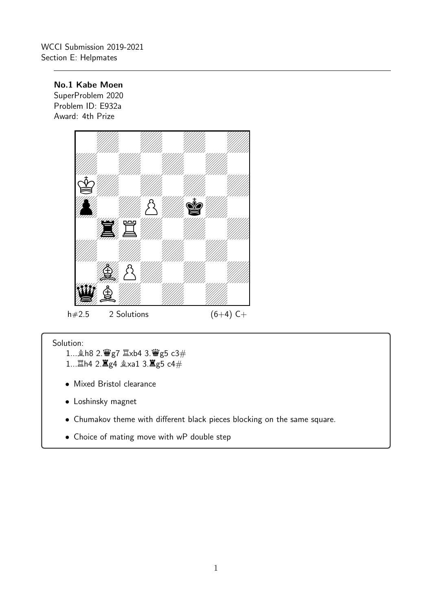No.1 Kabe Moen

SuperProblem 2020 Problem ID: E932a Award: 4th Prize



- 1... h8 2. 曹g7  $\Sigma$ xb4 3. 曹g5 c3# 1... 當h4 2. 富g4 gxa1 3. 富g5 c4#
- Mixed Bristol clearance
- Loshinsky magnet
- Chumakov theme with different black pieces blocking on the same square.
- Choice of mating move with wP double step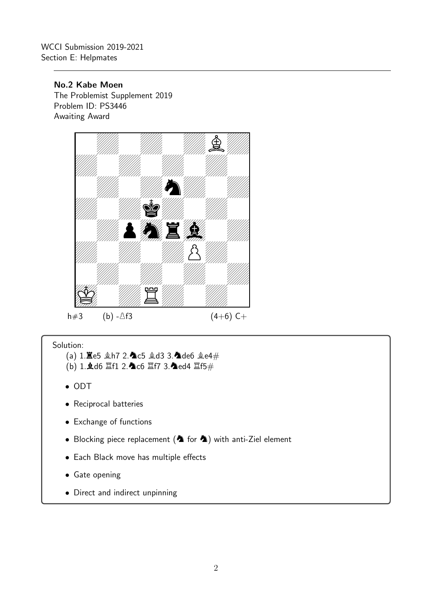No.2 Kabe Moen

The Problemist Supplement 2019 Problem ID: PS3446 Awaiting Award



- (a)  $1.\overline{2}e5 \triangleleft h7$   $2.\overline{2}c5 \triangleleft d3$   $3.\overline{2}de6 \triangleleft e4\#$
- $(b)$  1. $d$ d6  $E$ f1 2. $d$ c6  $E$ f7 3. $d$ ed4  $E$ f5 $#$
- ODT
- Reciprocal batteries
- Exchange of functions
- Blocking piece replacement ( $\spadesuit$  for  $\spadesuit$ ) with anti-Ziel element
- Each Black move has multiple effects
- Gate opening
- Direct and indirect unpinning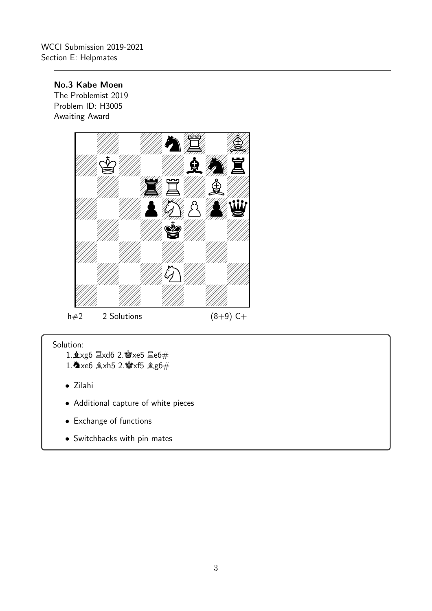## No.3 Kabe Moen

The Problemist 2019 Problem ID: H3005 Awaiting Award



- 1. $\frac{1}{2}$ xg6  $\frac{1}{2}$ xd6 2. $\frac{1}{2}$ xe5  $\frac{1}{2}$ e6#
- 1.  $x \in \mathbb{R}$   $x \in \mathbb{S}$  2.  $x \in \mathbb{S}$   $x \in \mathbb{S}$   $\mathbb{R}$
- Zilahi
- Additional capture of white pieces
- Exchange of functions
- Switchbacks with pin mates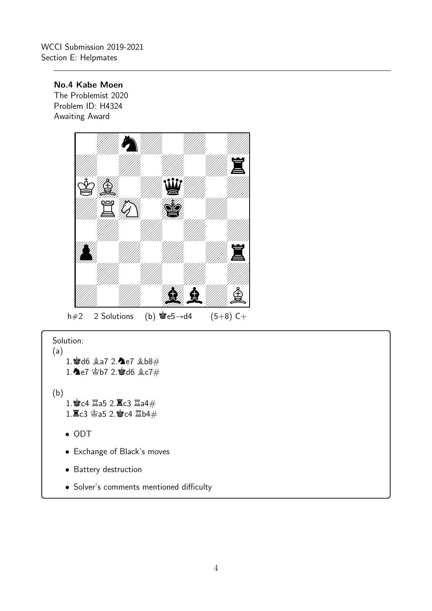No.4 Kabe Moen

The Problemist 2020 Problem ID: H4324 Awaiting Award



Solution: (a)

- 1. 2d6 鱼a7 2.4e7 鱼b8# 1. e7 \$b7 2. d6  $\&c7\#$
- (b)  $1.$ 曾c4  $2a5$   $2.\overline{2}$ c3  $2a4#$  $1.\n **2.9**$   $2.\n **3.1**$   $2.\n **4.1**$   $4.\n **4.1**$ 
	- ODT
	- Exchange of Black's moves
	- Battery destruction
	- Solver's comments mentioned difficulty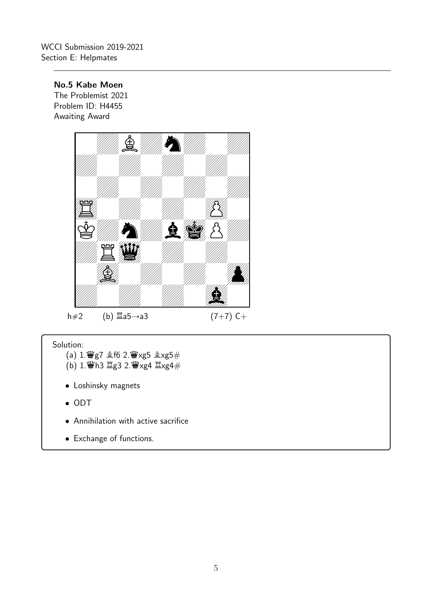## No.5 Kabe Moen

The Problemist 2021 Problem ID: H4455 Awaiting Award



- (a)  $1.\dddot{\mathbf{\mathbf{\Psi}}}$ g7  $\triangleq$ f6 2. $\dddot{\mathbf{\mathbf{\Psi}}}$ xg5  $\triangleq$ xg5 $\#$  $(b)$  1. $\ddot{w}$ h3  $\ddot{z}$ g3 2. $\ddot{w}$ xg4  $\dddot{z}$ xg4 $\ddot{z}$
- Loshinsky magnets
- ODT
- Annihilation with active sacrifice
- Exchange of functions.